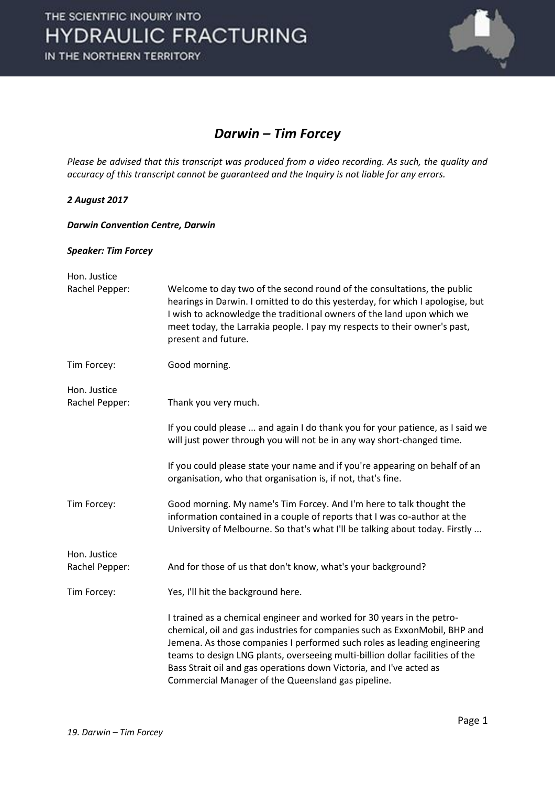

### *Darwin – Tim Forcey*

*Please be advised that this transcript was produced from a video recording. As such, the quality and accuracy of this transcript cannot be guaranteed and the Inquiry is not liable for any errors.*

### *2 August 2017*

#### *Darwin Convention Centre, Darwin*

### *Speaker: Tim Forcey*

| Hon. Justice                   |                                                                                                                                                                                                                                                                                                                                                                                                                                                |
|--------------------------------|------------------------------------------------------------------------------------------------------------------------------------------------------------------------------------------------------------------------------------------------------------------------------------------------------------------------------------------------------------------------------------------------------------------------------------------------|
| Rachel Pepper:                 | Welcome to day two of the second round of the consultations, the public<br>hearings in Darwin. I omitted to do this yesterday, for which I apologise, but<br>I wish to acknowledge the traditional owners of the land upon which we<br>meet today, the Larrakia people. I pay my respects to their owner's past,<br>present and future.                                                                                                        |
| Tim Forcey:                    | Good morning.                                                                                                                                                                                                                                                                                                                                                                                                                                  |
| Hon. Justice<br>Rachel Pepper: | Thank you very much.                                                                                                                                                                                                                                                                                                                                                                                                                           |
|                                | If you could please  and again I do thank you for your patience, as I said we<br>will just power through you will not be in any way short-changed time.                                                                                                                                                                                                                                                                                        |
|                                | If you could please state your name and if you're appearing on behalf of an<br>organisation, who that organisation is, if not, that's fine.                                                                                                                                                                                                                                                                                                    |
| Tim Forcey:                    | Good morning. My name's Tim Forcey. And I'm here to talk thought the<br>information contained in a couple of reports that I was co-author at the<br>University of Melbourne. So that's what I'll be talking about today. Firstly                                                                                                                                                                                                               |
| Hon. Justice                   |                                                                                                                                                                                                                                                                                                                                                                                                                                                |
| Rachel Pepper:                 | And for those of us that don't know, what's your background?                                                                                                                                                                                                                                                                                                                                                                                   |
| Tim Forcey:                    | Yes, I'll hit the background here.                                                                                                                                                                                                                                                                                                                                                                                                             |
|                                | I trained as a chemical engineer and worked for 30 years in the petro-<br>chemical, oil and gas industries for companies such as ExxonMobil, BHP and<br>Jemena. As those companies I performed such roles as leading engineering<br>teams to design LNG plants, overseeing multi-billion dollar facilities of the<br>Bass Strait oil and gas operations down Victoria, and I've acted as<br>Commercial Manager of the Queensland gas pipeline. |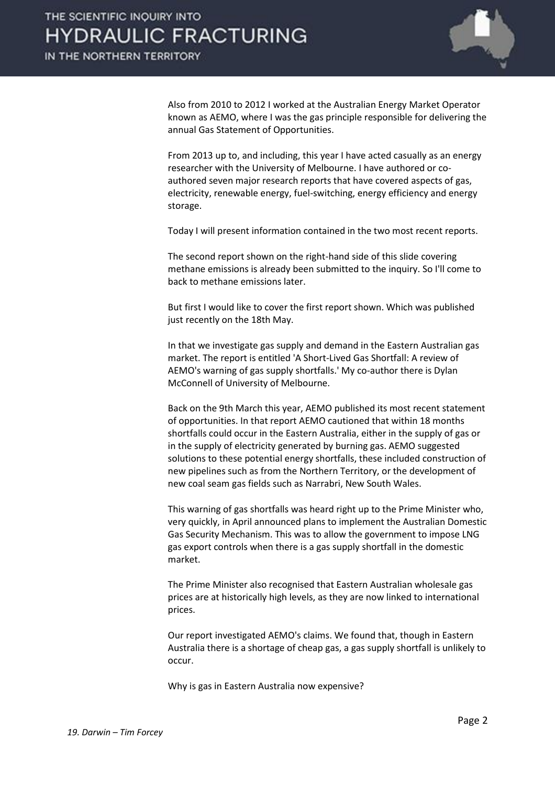

Also from 2010 to 2012 I worked at the Australian Energy Market Operator known as AEMO, where I was the gas principle responsible for delivering the annual Gas Statement of Opportunities.

From 2013 up to, and including, this year I have acted casually as an energy researcher with the University of Melbourne. I have authored or coauthored seven major research reports that have covered aspects of gas, electricity, renewable energy, fuel-switching, energy efficiency and energy storage.

Today I will present information contained in the two most recent reports.

The second report shown on the right-hand side of this slide covering methane emissions is already been submitted to the inquiry. So I'll come to back to methane emissions later.

But first I would like to cover the first report shown. Which was published just recently on the 18th May.

In that we investigate gas supply and demand in the Eastern Australian gas market. The report is entitled 'A Short-Lived Gas Shortfall: A review of AEMO's warning of gas supply shortfalls.' My co-author there is Dylan McConnell of University of Melbourne.

Back on the 9th March this year, AEMO published its most recent statement of opportunities. In that report AEMO cautioned that within 18 months shortfalls could occur in the Eastern Australia, either in the supply of gas or in the supply of electricity generated by burning gas. AEMO suggested solutions to these potential energy shortfalls, these included construction of new pipelines such as from the Northern Territory, or the development of new coal seam gas fields such as Narrabri, New South Wales.

This warning of gas shortfalls was heard right up to the Prime Minister who, very quickly, in April announced plans to implement the Australian Domestic Gas Security Mechanism. This was to allow the government to impose LNG gas export controls when there is a gas supply shortfall in the domestic market.

The Prime Minister also recognised that Eastern Australian wholesale gas prices are at historically high levels, as they are now linked to international prices.

Our report investigated AEMO's claims. We found that, though in Eastern Australia there is a shortage of cheap gas, a gas supply shortfall is unlikely to occur.

Why is gas in Eastern Australia now expensive?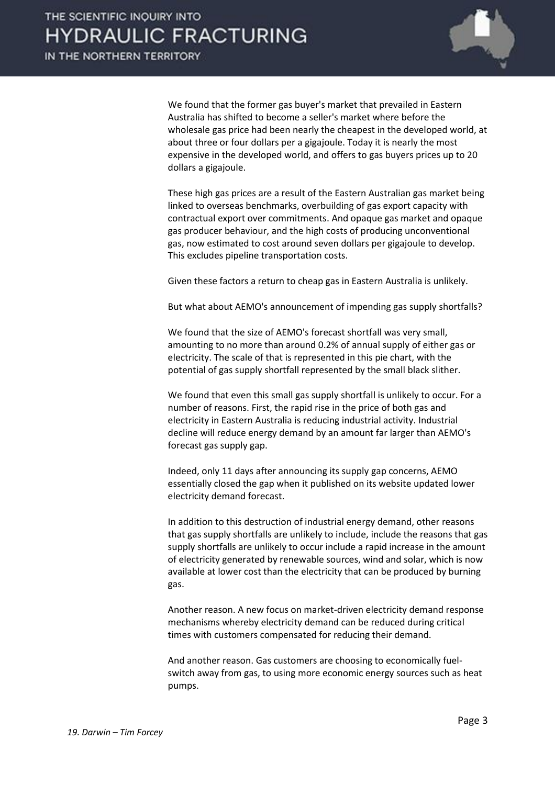

We found that the former gas buyer's market that prevailed in Eastern Australia has shifted to become a seller's market where before the wholesale gas price had been nearly the cheapest in the developed world, at about three or four dollars per a gigajoule. Today it is nearly the most expensive in the developed world, and offers to gas buyers prices up to 20 dollars a gigajoule.

These high gas prices are a result of the Eastern Australian gas market being linked to overseas benchmarks, overbuilding of gas export capacity with contractual export over commitments. And opaque gas market and opaque gas producer behaviour, and the high costs of producing unconventional gas, now estimated to cost around seven dollars per gigajoule to develop. This excludes pipeline transportation costs.

Given these factors a return to cheap gas in Eastern Australia is unlikely.

But what about AEMO's announcement of impending gas supply shortfalls?

We found that the size of AEMO's forecast shortfall was very small, amounting to no more than around 0.2% of annual supply of either gas or electricity. The scale of that is represented in this pie chart, with the potential of gas supply shortfall represented by the small black slither.

We found that even this small gas supply shortfall is unlikely to occur. For a number of reasons. First, the rapid rise in the price of both gas and electricity in Eastern Australia is reducing industrial activity. Industrial decline will reduce energy demand by an amount far larger than AEMO's forecast gas supply gap.

Indeed, only 11 days after announcing its supply gap concerns, AEMO essentially closed the gap when it published on its website updated lower electricity demand forecast.

In addition to this destruction of industrial energy demand, other reasons that gas supply shortfalls are unlikely to include, include the reasons that gas supply shortfalls are unlikely to occur include a rapid increase in the amount of electricity generated by renewable sources, wind and solar, which is now available at lower cost than the electricity that can be produced by burning gas.

Another reason. A new focus on market-driven electricity demand response mechanisms whereby electricity demand can be reduced during critical times with customers compensated for reducing their demand.

And another reason. Gas customers are choosing to economically fuelswitch away from gas, to using more economic energy sources such as heat pumps.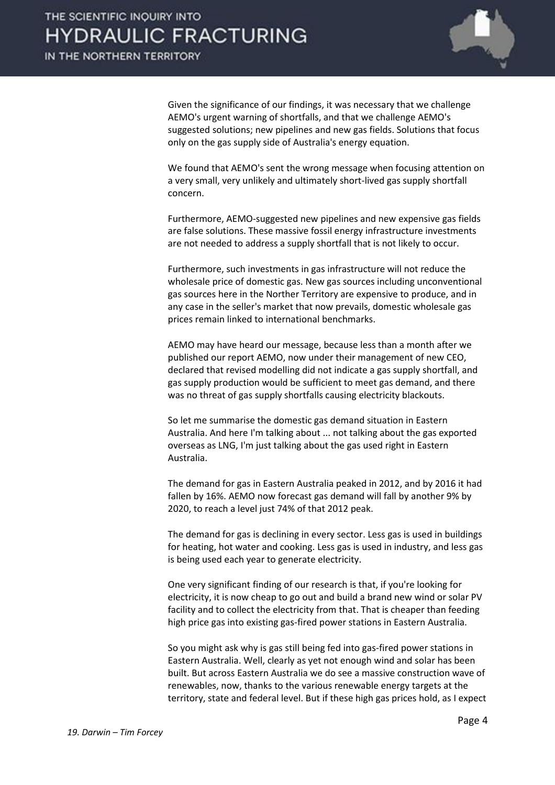

Given the significance of our findings, it was necessary that we challenge AEMO's urgent warning of shortfalls, and that we challenge AEMO's suggested solutions; new pipelines and new gas fields. Solutions that focus only on the gas supply side of Australia's energy equation.

We found that AEMO's sent the wrong message when focusing attention on a very small, very unlikely and ultimately short-lived gas supply shortfall concern.

Furthermore, AEMO-suggested new pipelines and new expensive gas fields are false solutions. These massive fossil energy infrastructure investments are not needed to address a supply shortfall that is not likely to occur.

Furthermore, such investments in gas infrastructure will not reduce the wholesale price of domestic gas. New gas sources including unconventional gas sources here in the Norther Territory are expensive to produce, and in any case in the seller's market that now prevails, domestic wholesale gas prices remain linked to international benchmarks.

AEMO may have heard our message, because less than a month after we published our report AEMO, now under their management of new CEO, declared that revised modelling did not indicate a gas supply shortfall, and gas supply production would be sufficient to meet gas demand, and there was no threat of gas supply shortfalls causing electricity blackouts.

So let me summarise the domestic gas demand situation in Eastern Australia. And here I'm talking about ... not talking about the gas exported overseas as LNG, I'm just talking about the gas used right in Eastern Australia.

The demand for gas in Eastern Australia peaked in 2012, and by 2016 it had fallen by 16%. AEMO now forecast gas demand will fall by another 9% by 2020, to reach a level just 74% of that 2012 peak.

The demand for gas is declining in every sector. Less gas is used in buildings for heating, hot water and cooking. Less gas is used in industry, and less gas is being used each year to generate electricity.

One very significant finding of our research is that, if you're looking for electricity, it is now cheap to go out and build a brand new wind or solar PV facility and to collect the electricity from that. That is cheaper than feeding high price gas into existing gas-fired power stations in Eastern Australia.

So you might ask why is gas still being fed into gas-fired power stations in Eastern Australia. Well, clearly as yet not enough wind and solar has been built. But across Eastern Australia we do see a massive construction wave of renewables, now, thanks to the various renewable energy targets at the territory, state and federal level. But if these high gas prices hold, as I expect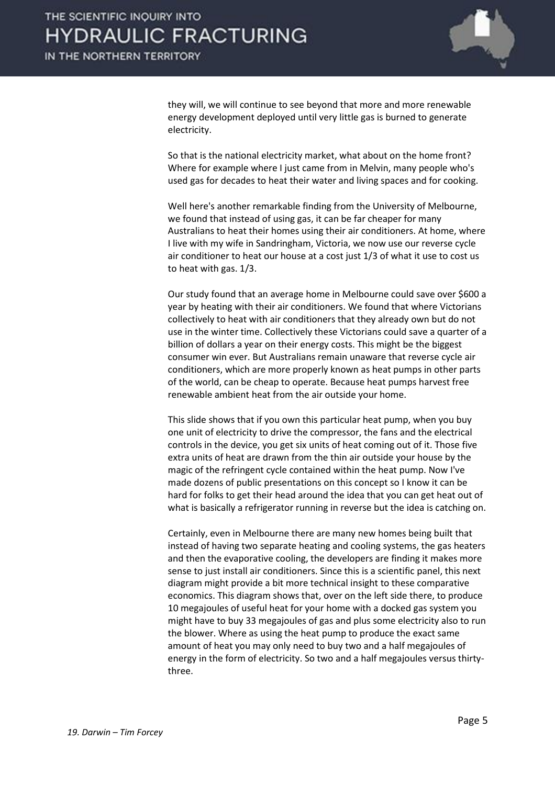

they will, we will continue to see beyond that more and more renewable energy development deployed until very little gas is burned to generate electricity.

So that is the national electricity market, what about on the home front? Where for example where I just came from in Melvin, many people who's used gas for decades to heat their water and living spaces and for cooking.

Well here's another remarkable finding from the University of Melbourne, we found that instead of using gas, it can be far cheaper for many Australians to heat their homes using their air conditioners. At home, where I live with my wife in Sandringham, Victoria, we now use our reverse cycle air conditioner to heat our house at a cost just 1/3 of what it use to cost us to heat with gas. 1/3.

Our study found that an average home in Melbourne could save over \$600 a year by heating with their air conditioners. We found that where Victorians collectively to heat with air conditioners that they already own but do not use in the winter time. Collectively these Victorians could save a quarter of a billion of dollars a year on their energy costs. This might be the biggest consumer win ever. But Australians remain unaware that reverse cycle air conditioners, which are more properly known as heat pumps in other parts of the world, can be cheap to operate. Because heat pumps harvest free renewable ambient heat from the air outside your home.

This slide shows that if you own this particular heat pump, when you buy one unit of electricity to drive the compressor, the fans and the electrical controls in the device, you get six units of heat coming out of it. Those five extra units of heat are drawn from the thin air outside your house by the magic of the refringent cycle contained within the heat pump. Now I've made dozens of public presentations on this concept so I know it can be hard for folks to get their head around the idea that you can get heat out of what is basically a refrigerator running in reverse but the idea is catching on.

Certainly, even in Melbourne there are many new homes being built that instead of having two separate heating and cooling systems, the gas heaters and then the evaporative cooling, the developers are finding it makes more sense to just install air conditioners. Since this is a scientific panel, this next diagram might provide a bit more technical insight to these comparative economics. This diagram shows that, over on the left side there, to produce 10 megajoules of useful heat for your home with a docked gas system you might have to buy 33 megajoules of gas and plus some electricity also to run the blower. Where as using the heat pump to produce the exact same amount of heat you may only need to buy two and a half megajoules of energy in the form of electricity. So two and a half megajoules versus thirtythree.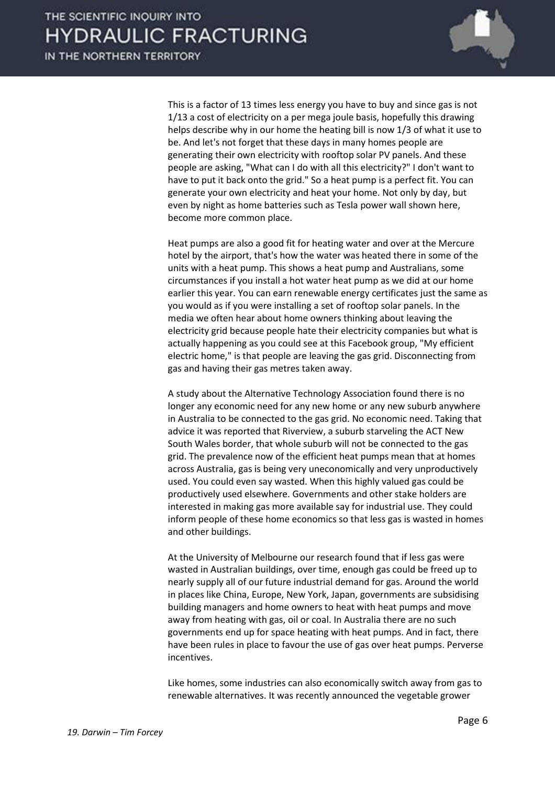

This is a factor of 13 times less energy you have to buy and since gas is not 1/13 a cost of electricity on a per mega joule basis, hopefully this drawing helps describe why in our home the heating bill is now 1/3 of what it use to be. And let's not forget that these days in many homes people are generating their own electricity with rooftop solar PV panels. And these people are asking, "What can I do with all this electricity?" I don't want to have to put it back onto the grid." So a heat pump is a perfect fit. You can generate your own electricity and heat your home. Not only by day, but even by night as home batteries such as Tesla power wall shown here, become more common place.

Heat pumps are also a good fit for heating water and over at the Mercure hotel by the airport, that's how the water was heated there in some of the units with a heat pump. This shows a heat pump and Australians, some circumstances if you install a hot water heat pump as we did at our home earlier this year. You can earn renewable energy certificates just the same as you would as if you were installing a set of rooftop solar panels. In the media we often hear about home owners thinking about leaving the electricity grid because people hate their electricity companies but what is actually happening as you could see at this Facebook group, "My efficient electric home," is that people are leaving the gas grid. Disconnecting from gas and having their gas metres taken away.

A study about the Alternative Technology Association found there is no longer any economic need for any new home or any new suburb anywhere in Australia to be connected to the gas grid. No economic need. Taking that advice it was reported that Riverview, a suburb starveling the ACT New South Wales border, that whole suburb will not be connected to the gas grid. The prevalence now of the efficient heat pumps mean that at homes across Australia, gas is being very uneconomically and very unproductively used. You could even say wasted. When this highly valued gas could be productively used elsewhere. Governments and other stake holders are interested in making gas more available say for industrial use. They could inform people of these home economics so that less gas is wasted in homes and other buildings.

At the University of Melbourne our research found that if less gas were wasted in Australian buildings, over time, enough gas could be freed up to nearly supply all of our future industrial demand for gas. Around the world in places like China, Europe, New York, Japan, governments are subsidising building managers and home owners to heat with heat pumps and move away from heating with gas, oil or coal. In Australia there are no such governments end up for space heating with heat pumps. And in fact, there have been rules in place to favour the use of gas over heat pumps. Perverse incentives.

Like homes, some industries can also economically switch away from gas to renewable alternatives. It was recently announced the vegetable grower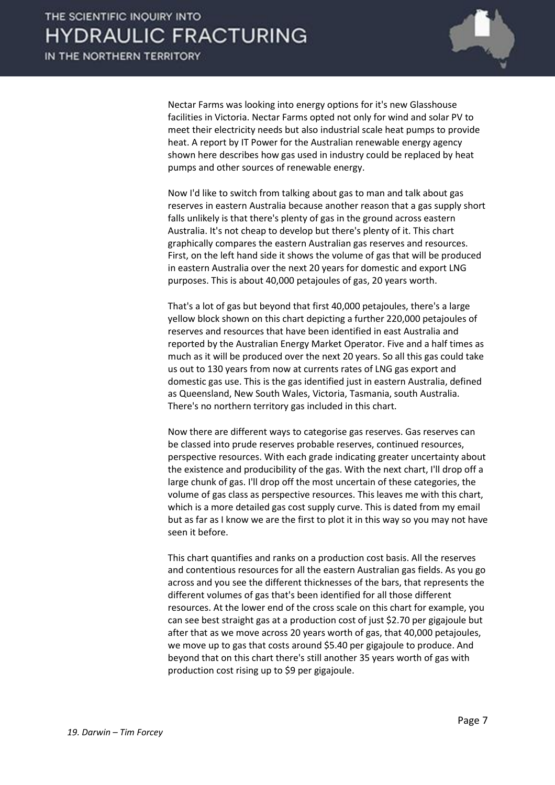

Nectar Farms was looking into energy options for it's new Glasshouse facilities in Victoria. Nectar Farms opted not only for wind and solar PV to meet their electricity needs but also industrial scale heat pumps to provide heat. A report by IT Power for the Australian renewable energy agency shown here describes how gas used in industry could be replaced by heat pumps and other sources of renewable energy.

Now I'd like to switch from talking about gas to man and talk about gas reserves in eastern Australia because another reason that a gas supply short falls unlikely is that there's plenty of gas in the ground across eastern Australia. It's not cheap to develop but there's plenty of it. This chart graphically compares the eastern Australian gas reserves and resources. First, on the left hand side it shows the volume of gas that will be produced in eastern Australia over the next 20 years for domestic and export LNG purposes. This is about 40,000 petajoules of gas, 20 years worth.

That's a lot of gas but beyond that first 40,000 petajoules, there's a large yellow block shown on this chart depicting a further 220,000 petajoules of reserves and resources that have been identified in east Australia and reported by the Australian Energy Market Operator. Five and a half times as much as it will be produced over the next 20 years. So all this gas could take us out to 130 years from now at currents rates of LNG gas export and domestic gas use. This is the gas identified just in eastern Australia, defined as Queensland, New South Wales, Victoria, Tasmania, south Australia. There's no northern territory gas included in this chart.

Now there are different ways to categorise gas reserves. Gas reserves can be classed into prude reserves probable reserves, continued resources, perspective resources. With each grade indicating greater uncertainty about the existence and producibility of the gas. With the next chart, I'll drop off a large chunk of gas. I'll drop off the most uncertain of these categories, the volume of gas class as perspective resources. This leaves me with this chart, which is a more detailed gas cost supply curve. This is dated from my email but as far as I know we are the first to plot it in this way so you may not have seen it before.

This chart quantifies and ranks on a production cost basis. All the reserves and contentious resources for all the eastern Australian gas fields. As you go across and you see the different thicknesses of the bars, that represents the different volumes of gas that's been identified for all those different resources. At the lower end of the cross scale on this chart for example, you can see best straight gas at a production cost of just \$2.70 per gigajoule but after that as we move across 20 years worth of gas, that 40,000 petajoules, we move up to gas that costs around \$5.40 per gigajoule to produce. And beyond that on this chart there's still another 35 years worth of gas with production cost rising up to \$9 per gigajoule.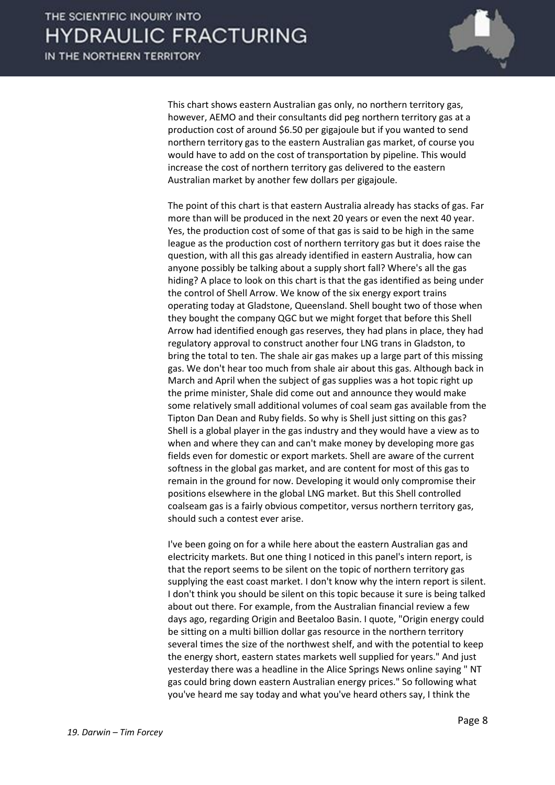

This chart shows eastern Australian gas only, no northern territory gas, however, AEMO and their consultants did peg northern territory gas at a production cost of around \$6.50 per gigajoule but if you wanted to send northern territory gas to the eastern Australian gas market, of course you would have to add on the cost of transportation by pipeline. This would increase the cost of northern territory gas delivered to the eastern Australian market by another few dollars per gigajoule.

The point of this chart is that eastern Australia already has stacks of gas. Far more than will be produced in the next 20 years or even the next 40 year. Yes, the production cost of some of that gas is said to be high in the same league as the production cost of northern territory gas but it does raise the question, with all this gas already identified in eastern Australia, how can anyone possibly be talking about a supply short fall? Where's all the gas hiding? A place to look on this chart is that the gas identified as being under the control of Shell Arrow. We know of the six energy export trains operating today at Gladstone, Queensland. Shell bought two of those when they bought the company QGC but we might forget that before this Shell Arrow had identified enough gas reserves, they had plans in place, they had regulatory approval to construct another four LNG trans in Gladston, to bring the total to ten. The shale air gas makes up a large part of this missing gas. We don't hear too much from shale air about this gas. Although back in March and April when the subject of gas supplies was a hot topic right up the prime minister, Shale did come out and announce they would make some relatively small additional volumes of coal seam gas available from the Tipton Dan Dean and Ruby fields. So why is Shell just sitting on this gas? Shell is a global player in the gas industry and they would have a view as to when and where they can and can't make money by developing more gas fields even for domestic or export markets. Shell are aware of the current softness in the global gas market, and are content for most of this gas to remain in the ground for now. Developing it would only compromise their positions elsewhere in the global LNG market. But this Shell controlled coalseam gas is a fairly obvious competitor, versus northern territory gas, should such a contest ever arise.

I've been going on for a while here about the eastern Australian gas and electricity markets. But one thing I noticed in this panel's intern report, is that the report seems to be silent on the topic of northern territory gas supplying the east coast market. I don't know why the intern report is silent. I don't think you should be silent on this topic because it sure is being talked about out there. For example, from the Australian financial review a few days ago, regarding Origin and Beetaloo Basin. I quote, "Origin energy could be sitting on a multi billion dollar gas resource in the northern territory several times the size of the northwest shelf, and with the potential to keep the energy short, eastern states markets well supplied for years." And just yesterday there was a headline in the Alice Springs News online saying " NT gas could bring down eastern Australian energy prices." So following what you've heard me say today and what you've heard others say, I think the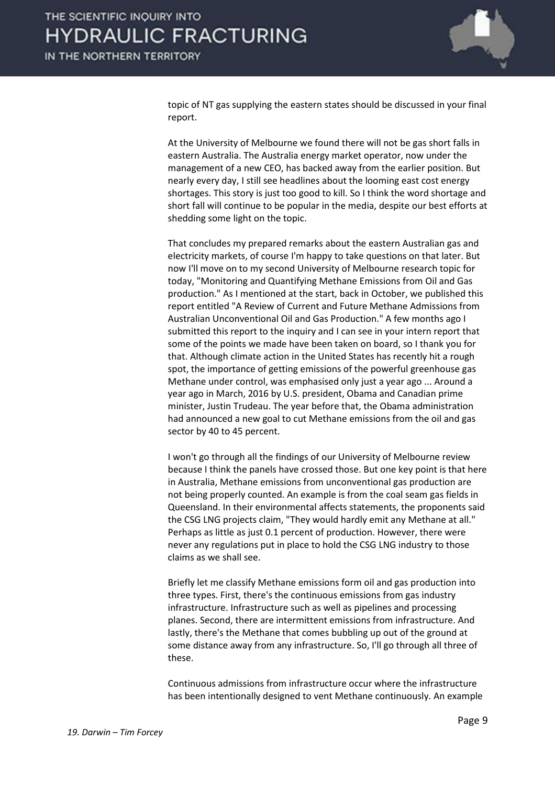

topic of NT gas supplying the eastern states should be discussed in your final report.

At the University of Melbourne we found there will not be gas short falls in eastern Australia. The Australia energy market operator, now under the management of a new CEO, has backed away from the earlier position. But nearly every day, I still see headlines about the looming east cost energy shortages. This story is just too good to kill. So I think the word shortage and short fall will continue to be popular in the media, despite our best efforts at shedding some light on the topic.

That concludes my prepared remarks about the eastern Australian gas and electricity markets, of course I'm happy to take questions on that later. But now I'll move on to my second University of Melbourne research topic for today, "Monitoring and Quantifying Methane Emissions from Oil and Gas production." As I mentioned at the start, back in October, we published this report entitled "A Review of Current and Future Methane Admissions from Australian Unconventional Oil and Gas Production." A few months ago I submitted this report to the inquiry and I can see in your intern report that some of the points we made have been taken on board, so I thank you for that. Although climate action in the United States has recently hit a rough spot, the importance of getting emissions of the powerful greenhouse gas Methane under control, was emphasised only just a year ago ... Around a year ago in March, 2016 by U.S. president, Obama and Canadian prime minister, Justin Trudeau. The year before that, the Obama administration had announced a new goal to cut Methane emissions from the oil and gas sector by 40 to 45 percent.

I won't go through all the findings of our University of Melbourne review because I think the panels have crossed those. But one key point is that here in Australia, Methane emissions from unconventional gas production are not being properly counted. An example is from the coal seam gas fields in Queensland. In their environmental affects statements, the proponents said the CSG LNG projects claim, "They would hardly emit any Methane at all." Perhaps as little as just 0.1 percent of production. However, there were never any regulations put in place to hold the CSG LNG industry to those claims as we shall see.

Briefly let me classify Methane emissions form oil and gas production into three types. First, there's the continuous emissions from gas industry infrastructure. Infrastructure such as well as pipelines and processing planes. Second, there are intermittent emissions from infrastructure. And lastly, there's the Methane that comes bubbling up out of the ground at some distance away from any infrastructure. So, I'll go through all three of these.

Continuous admissions from infrastructure occur where the infrastructure has been intentionally designed to vent Methane continuously. An example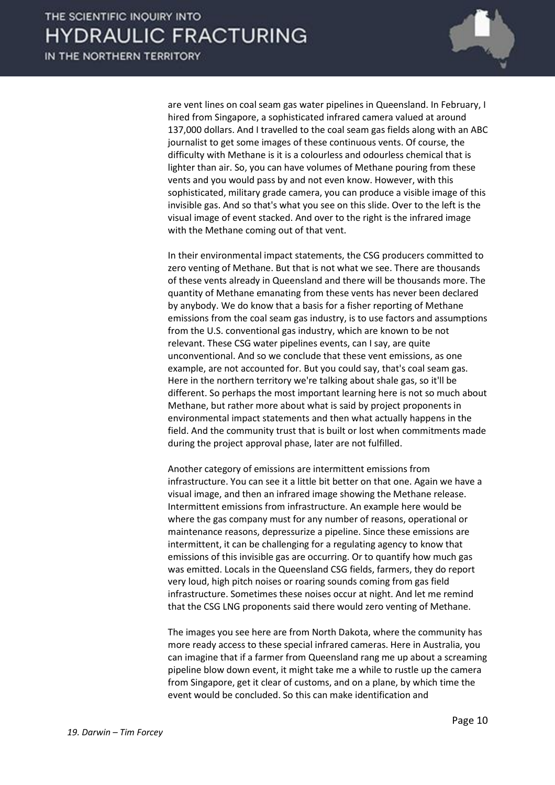

are vent lines on coal seam gas water pipelines in Queensland. In February, I hired from Singapore, a sophisticated infrared camera valued at around 137,000 dollars. And I travelled to the coal seam gas fields along with an ABC journalist to get some images of these continuous vents. Of course, the difficulty with Methane is it is a colourless and odourless chemical that is lighter than air. So, you can have volumes of Methane pouring from these vents and you would pass by and not even know. However, with this sophisticated, military grade camera, you can produce a visible image of this invisible gas. And so that's what you see on this slide. Over to the left is the visual image of event stacked. And over to the right is the infrared image with the Methane coming out of that vent.

In their environmental impact statements, the CSG producers committed to zero venting of Methane. But that is not what we see. There are thousands of these vents already in Queensland and there will be thousands more. The quantity of Methane emanating from these vents has never been declared by anybody. We do know that a basis for a fisher reporting of Methane emissions from the coal seam gas industry, is to use factors and assumptions from the U.S. conventional gas industry, which are known to be not relevant. These CSG water pipelines events, can I say, are quite unconventional. And so we conclude that these vent emissions, as one example, are not accounted for. But you could say, that's coal seam gas. Here in the northern territory we're talking about shale gas, so it'll be different. So perhaps the most important learning here is not so much about Methane, but rather more about what is said by project proponents in environmental impact statements and then what actually happens in the field. And the community trust that is built or lost when commitments made during the project approval phase, later are not fulfilled.

Another category of emissions are intermittent emissions from infrastructure. You can see it a little bit better on that one. Again we have a visual image, and then an infrared image showing the Methane release. Intermittent emissions from infrastructure. An example here would be where the gas company must for any number of reasons, operational or maintenance reasons, depressurize a pipeline. Since these emissions are intermittent, it can be challenging for a regulating agency to know that emissions of this invisible gas are occurring. Or to quantify how much gas was emitted. Locals in the Queensland CSG fields, farmers, they do report very loud, high pitch noises or roaring sounds coming from gas field infrastructure. Sometimes these noises occur at night. And let me remind that the CSG LNG proponents said there would zero venting of Methane.

The images you see here are from North Dakota, where the community has more ready access to these special infrared cameras. Here in Australia, you can imagine that if a farmer from Queensland rang me up about a screaming pipeline blow down event, it might take me a while to rustle up the camera from Singapore, get it clear of customs, and on a plane, by which time the event would be concluded. So this can make identification and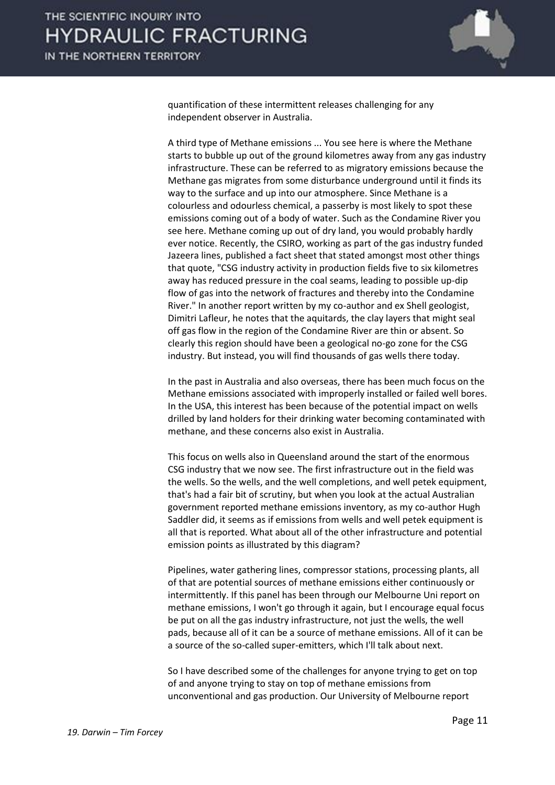

quantification of these intermittent releases challenging for any independent observer in Australia.

A third type of Methane emissions ... You see here is where the Methane starts to bubble up out of the ground kilometres away from any gas industry infrastructure. These can be referred to as migratory emissions because the Methane gas migrates from some disturbance underground until it finds its way to the surface and up into our atmosphere. Since Methane is a colourless and odourless chemical, a passerby is most likely to spot these emissions coming out of a body of water. Such as the Condamine River you see here. Methane coming up out of dry land, you would probably hardly ever notice. Recently, the CSIRO, working as part of the gas industry funded Jazeera lines, published a fact sheet that stated amongst most other things that quote, "CSG industry activity in production fields five to six kilometres away has reduced pressure in the coal seams, leading to possible up-dip flow of gas into the network of fractures and thereby into the Condamine River." In another report written by my co-author and ex Shell geologist, Dimitri Lafleur, he notes that the aquitards, the clay layers that might seal off gas flow in the region of the Condamine River are thin or absent. So clearly this region should have been a geological no-go zone for the CSG industry. But instead, you will find thousands of gas wells there today.

In the past in Australia and also overseas, there has been much focus on the Methane emissions associated with improperly installed or failed well bores. In the USA, this interest has been because of the potential impact on wells drilled by land holders for their drinking water becoming contaminated with methane, and these concerns also exist in Australia.

This focus on wells also in Queensland around the start of the enormous CSG industry that we now see. The first infrastructure out in the field was the wells. So the wells, and the well completions, and well petek equipment, that's had a fair bit of scrutiny, but when you look at the actual Australian government reported methane emissions inventory, as my co-author Hugh Saddler did, it seems as if emissions from wells and well petek equipment is all that is reported. What about all of the other infrastructure and potential emission points as illustrated by this diagram?

Pipelines, water gathering lines, compressor stations, processing plants, all of that are potential sources of methane emissions either continuously or intermittently. If this panel has been through our Melbourne Uni report on methane emissions, I won't go through it again, but I encourage equal focus be put on all the gas industry infrastructure, not just the wells, the well pads, because all of it can be a source of methane emissions. All of it can be a source of the so-called super-emitters, which I'll talk about next.

So I have described some of the challenges for anyone trying to get on top of and anyone trying to stay on top of methane emissions from unconventional and gas production. Our University of Melbourne report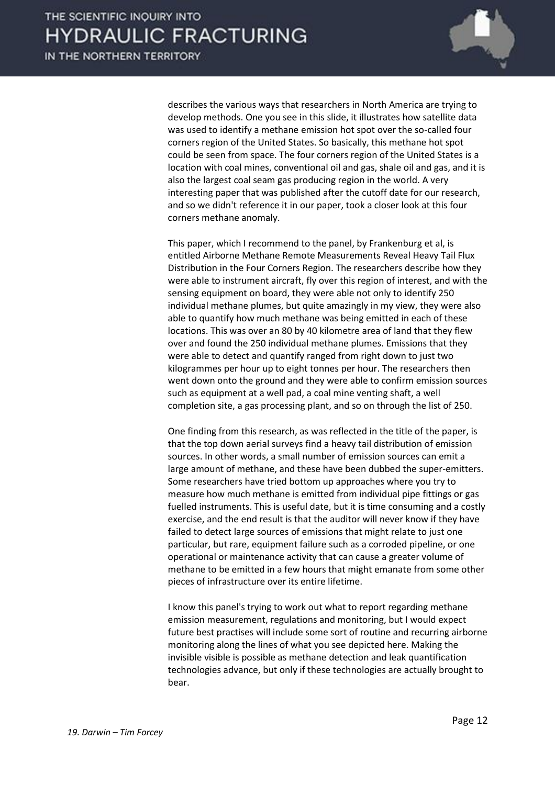

describes the various ways that researchers in North America are trying to develop methods. One you see in this slide, it illustrates how satellite data was used to identify a methane emission hot spot over the so-called four corners region of the United States. So basically, this methane hot spot could be seen from space. The four corners region of the United States is a location with coal mines, conventional oil and gas, shale oil and gas, and it is also the largest coal seam gas producing region in the world. A very interesting paper that was published after the cutoff date for our research, and so we didn't reference it in our paper, took a closer look at this four corners methane anomaly.

This paper, which I recommend to the panel, by Frankenburg et al, is entitled Airborne Methane Remote Measurements Reveal Heavy Tail Flux Distribution in the Four Corners Region. The researchers describe how they were able to instrument aircraft, fly over this region of interest, and with the sensing equipment on board, they were able not only to identify 250 individual methane plumes, but quite amazingly in my view, they were also able to quantify how much methane was being emitted in each of these locations. This was over an 80 by 40 kilometre area of land that they flew over and found the 250 individual methane plumes. Emissions that they were able to detect and quantify ranged from right down to just two kilogrammes per hour up to eight tonnes per hour. The researchers then went down onto the ground and they were able to confirm emission sources such as equipment at a well pad, a coal mine venting shaft, a well completion site, a gas processing plant, and so on through the list of 250.

One finding from this research, as was reflected in the title of the paper, is that the top down aerial surveys find a heavy tail distribution of emission sources. In other words, a small number of emission sources can emit a large amount of methane, and these have been dubbed the super-emitters. Some researchers have tried bottom up approaches where you try to measure how much methane is emitted from individual pipe fittings or gas fuelled instruments. This is useful date, but it is time consuming and a costly exercise, and the end result is that the auditor will never know if they have failed to detect large sources of emissions that might relate to just one particular, but rare, equipment failure such as a corroded pipeline, or one operational or maintenance activity that can cause a greater volume of methane to be emitted in a few hours that might emanate from some other pieces of infrastructure over its entire lifetime.

I know this panel's trying to work out what to report regarding methane emission measurement, regulations and monitoring, but I would expect future best practises will include some sort of routine and recurring airborne monitoring along the lines of what you see depicted here. Making the invisible visible is possible as methane detection and leak quantification technologies advance, but only if these technologies are actually brought to bear.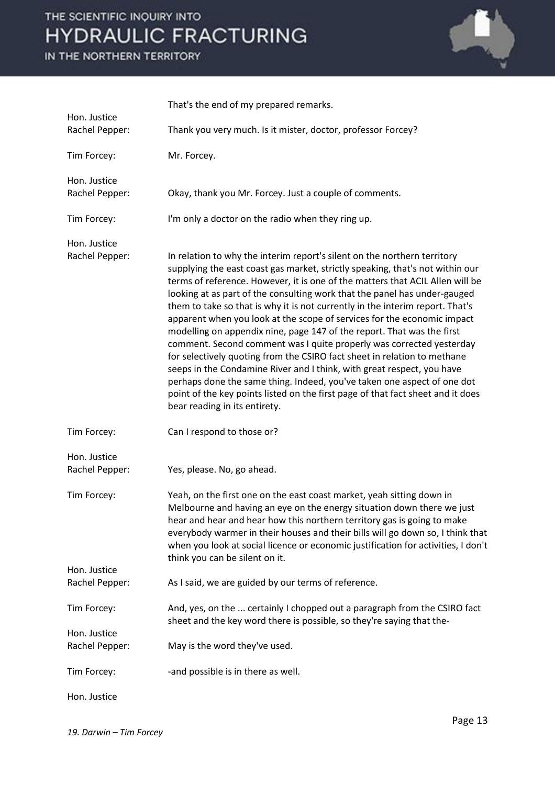IN THE NORTHERN TERRITORY



|                                | That's the end of my prepared remarks.                                                                                                                                                                                                                                                                                                                                                                                                                                                                                                                                                                                                                                                                                                                                                                                                                                                                                                                                                     |
|--------------------------------|--------------------------------------------------------------------------------------------------------------------------------------------------------------------------------------------------------------------------------------------------------------------------------------------------------------------------------------------------------------------------------------------------------------------------------------------------------------------------------------------------------------------------------------------------------------------------------------------------------------------------------------------------------------------------------------------------------------------------------------------------------------------------------------------------------------------------------------------------------------------------------------------------------------------------------------------------------------------------------------------|
| Hon. Justice<br>Rachel Pepper: | Thank you very much. Is it mister, doctor, professor Forcey?                                                                                                                                                                                                                                                                                                                                                                                                                                                                                                                                                                                                                                                                                                                                                                                                                                                                                                                               |
| Tim Forcey:                    | Mr. Forcey.                                                                                                                                                                                                                                                                                                                                                                                                                                                                                                                                                                                                                                                                                                                                                                                                                                                                                                                                                                                |
| Hon. Justice<br>Rachel Pepper: | Okay, thank you Mr. Forcey. Just a couple of comments.                                                                                                                                                                                                                                                                                                                                                                                                                                                                                                                                                                                                                                                                                                                                                                                                                                                                                                                                     |
| Tim Forcey:                    | I'm only a doctor on the radio when they ring up.                                                                                                                                                                                                                                                                                                                                                                                                                                                                                                                                                                                                                                                                                                                                                                                                                                                                                                                                          |
| Hon. Justice<br>Rachel Pepper: | In relation to why the interim report's silent on the northern territory<br>supplying the east coast gas market, strictly speaking, that's not within our<br>terms of reference. However, it is one of the matters that ACIL Allen will be<br>looking at as part of the consulting work that the panel has under-gauged<br>them to take so that is why it is not currently in the interim report. That's<br>apparent when you look at the scope of services for the economic impact<br>modelling on appendix nine, page 147 of the report. That was the first<br>comment. Second comment was I quite properly was corrected yesterday<br>for selectively quoting from the CSIRO fact sheet in relation to methane<br>seeps in the Condamine River and I think, with great respect, you have<br>perhaps done the same thing. Indeed, you've taken one aspect of one dot<br>point of the key points listed on the first page of that fact sheet and it does<br>bear reading in its entirety. |
| Tim Forcey:                    | Can I respond to those or?                                                                                                                                                                                                                                                                                                                                                                                                                                                                                                                                                                                                                                                                                                                                                                                                                                                                                                                                                                 |
| Hon. Justice<br>Rachel Pepper: | Yes, please. No, go ahead.                                                                                                                                                                                                                                                                                                                                                                                                                                                                                                                                                                                                                                                                                                                                                                                                                                                                                                                                                                 |
| Tim Forcey:                    | Yeah, on the first one on the east coast market, yeah sitting down in<br>Melbourne and having an eye on the energy situation down there we just<br>hear and hear and hear how this northern territory gas is going to make<br>everybody warmer in their houses and their bills will go down so, I think that<br>when you look at social licence or economic justification for activities, I don't<br>think you can be silent on it.                                                                                                                                                                                                                                                                                                                                                                                                                                                                                                                                                        |
| Hon. Justice<br>Rachel Pepper: | As I said, we are guided by our terms of reference.                                                                                                                                                                                                                                                                                                                                                                                                                                                                                                                                                                                                                                                                                                                                                                                                                                                                                                                                        |
| Tim Forcey:                    | And, yes, on the  certainly I chopped out a paragraph from the CSIRO fact<br>sheet and the key word there is possible, so they're saying that the-                                                                                                                                                                                                                                                                                                                                                                                                                                                                                                                                                                                                                                                                                                                                                                                                                                         |
| Hon. Justice<br>Rachel Pepper: | May is the word they've used.                                                                                                                                                                                                                                                                                                                                                                                                                                                                                                                                                                                                                                                                                                                                                                                                                                                                                                                                                              |
| Tim Forcey:                    | -and possible is in there as well.                                                                                                                                                                                                                                                                                                                                                                                                                                                                                                                                                                                                                                                                                                                                                                                                                                                                                                                                                         |
| Hon. Justice                   |                                                                                                                                                                                                                                                                                                                                                                                                                                                                                                                                                                                                                                                                                                                                                                                                                                                                                                                                                                                            |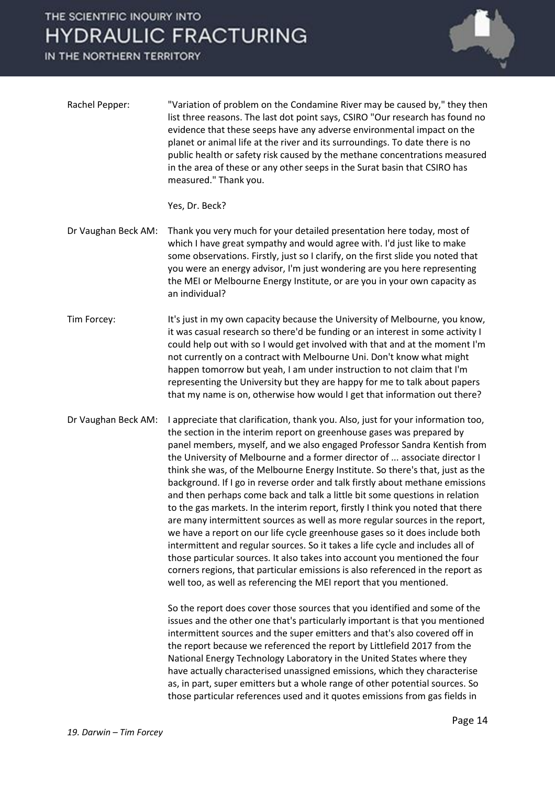IN THE NORTHERN TERRITORY



| Rachel Pepper: | "Variation of problem on the Condamine River may be caused by," they then     |
|----------------|-------------------------------------------------------------------------------|
|                | list three reasons. The last dot point says, CSIRO "Our research has found no |
|                | evidence that these seeps have any adverse environmental impact on the        |
|                | planet or animal life at the river and its surroundings. To date there is no  |
|                | public health or safety risk caused by the methane concentrations measured    |
|                | in the area of these or any other seeps in the Surat basin that CSIRO has     |
|                | measured." Thank you.                                                         |

Yes, Dr. Beck?

- Dr Vaughan Beck AM: Thank you very much for your detailed presentation here today, most of which I have great sympathy and would agree with. I'd just like to make some observations. Firstly, just so I clarify, on the first slide you noted that you were an energy advisor, I'm just wondering are you here representing the MEI or Melbourne Energy Institute, or are you in your own capacity as an individual?
- Tim Forcey: It's just in my own capacity because the University of Melbourne, you know, it was casual research so there'd be funding or an interest in some activity I could help out with so I would get involved with that and at the moment I'm not currently on a contract with Melbourne Uni. Don't know what might happen tomorrow but yeah, I am under instruction to not claim that I'm representing the University but they are happy for me to talk about papers that my name is on, otherwise how would I get that information out there?
- Dr Vaughan Beck AM: I appreciate that clarification, thank you. Also, just for your information too, the section in the interim report on greenhouse gases was prepared by panel members, myself, and we also engaged Professor Sandra Kentish from the University of Melbourne and a former director of ... associate director I think she was, of the Melbourne Energy Institute. So there's that, just as the background. If I go in reverse order and talk firstly about methane emissions and then perhaps come back and talk a little bit some questions in relation to the gas markets. In the interim report, firstly I think you noted that there are many intermittent sources as well as more regular sources in the report, we have a report on our life cycle greenhouse gases so it does include both intermittent and regular sources. So it takes a life cycle and includes all of those particular sources. It also takes into account you mentioned the four corners regions, that particular emissions is also referenced in the report as well too, as well as referencing the MEI report that you mentioned.

So the report does cover those sources that you identified and some of the issues and the other one that's particularly important is that you mentioned intermittent sources and the super emitters and that's also covered off in the report because we referenced the report by Littlefield 2017 from the National Energy Technology Laboratory in the United States where they have actually characterised unassigned emissions, which they characterise as, in part, super emitters but a whole range of other potential sources. So those particular references used and it quotes emissions from gas fields in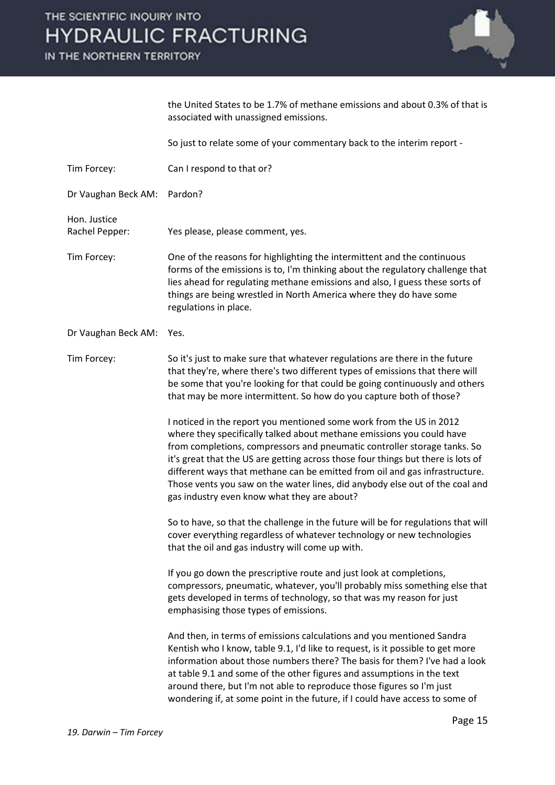IN THE NORTHERN TERRITORY



|                                | the United States to be 1.7% of methane emissions and about 0.3% of that is<br>associated with unassigned emissions.                                                                                                                                                                                                                                                                                                                                                                                                       |
|--------------------------------|----------------------------------------------------------------------------------------------------------------------------------------------------------------------------------------------------------------------------------------------------------------------------------------------------------------------------------------------------------------------------------------------------------------------------------------------------------------------------------------------------------------------------|
|                                | So just to relate some of your commentary back to the interim report -                                                                                                                                                                                                                                                                                                                                                                                                                                                     |
| Tim Forcey:                    | Can I respond to that or?                                                                                                                                                                                                                                                                                                                                                                                                                                                                                                  |
| Dr Vaughan Beck AM:            | Pardon?                                                                                                                                                                                                                                                                                                                                                                                                                                                                                                                    |
| Hon. Justice<br>Rachel Pepper: | Yes please, please comment, yes.                                                                                                                                                                                                                                                                                                                                                                                                                                                                                           |
| Tim Forcey:                    | One of the reasons for highlighting the intermittent and the continuous<br>forms of the emissions is to, I'm thinking about the regulatory challenge that<br>lies ahead for regulating methane emissions and also, I guess these sorts of<br>things are being wrestled in North America where they do have some<br>regulations in place.                                                                                                                                                                                   |
| Dr Vaughan Beck AM:            | Yes.                                                                                                                                                                                                                                                                                                                                                                                                                                                                                                                       |
| Tim Forcey:                    | So it's just to make sure that whatever regulations are there in the future<br>that they're, where there's two different types of emissions that there will<br>be some that you're looking for that could be going continuously and others<br>that may be more intermittent. So how do you capture both of those?                                                                                                                                                                                                          |
|                                | I noticed in the report you mentioned some work from the US in 2012<br>where they specifically talked about methane emissions you could have<br>from completions, compressors and pneumatic controller storage tanks. So<br>it's great that the US are getting across those four things but there is lots of<br>different ways that methane can be emitted from oil and gas infrastructure.<br>Those vents you saw on the water lines, did anybody else out of the coal and<br>gas industry even know what they are about? |
|                                | So to have, so that the challenge in the future will be for regulations that will<br>cover everything regardless of whatever technology or new technologies<br>that the oil and gas industry will come up with.                                                                                                                                                                                                                                                                                                            |
|                                | If you go down the prescriptive route and just look at completions,<br>compressors, pneumatic, whatever, you'll probably miss something else that<br>gets developed in terms of technology, so that was my reason for just<br>emphasising those types of emissions.                                                                                                                                                                                                                                                        |
|                                | And then, in terms of emissions calculations and you mentioned Sandra<br>Kentish who I know, table 9.1, I'd like to request, is it possible to get more<br>information about those numbers there? The basis for them? I've had a look<br>at table 9.1 and some of the other figures and assumptions in the text<br>around there, but I'm not able to reproduce those figures so I'm just<br>wondering if, at some point in the future, if I could have access to some of                                                   |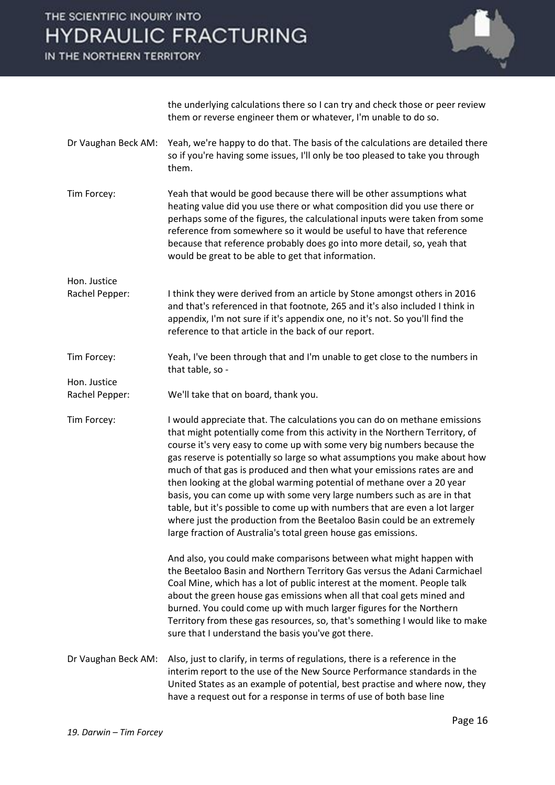IN THE NORTHERN TERRITORY



the underlying calculations there so I can try and check those or peer review them or reverse engineer them or whatever, I'm unable to do so.

- Dr Vaughan Beck AM: Yeah, we're happy to do that. The basis of the calculations are detailed there so if you're having some issues, I'll only be too pleased to take you through them.
- Tim Forcey: Yeah that would be good because there will be other assumptions what heating value did you use there or what composition did you use there or perhaps some of the figures, the calculational inputs were taken from some reference from somewhere so it would be useful to have that reference because that reference probably does go into more detail, so, yeah that would be great to be able to get that information.
- Hon. Justice Rachel Pepper: I think they were derived from an article by Stone amongst others in 2016 and that's referenced in that footnote, 265 and it's also included I think in appendix, I'm not sure if it's appendix one, no it's not. So you'll find the reference to that article in the back of our report.
- Tim Forcey: Yeah, I've been through that and I'm unable to get close to the numbers in that table, so -
- Rachel Pepper: We'll take that on board, thank you.
- Tim Forcey: I would appreciate that. The calculations you can do on methane emissions that might potentially come from this activity in the Northern Territory, of course it's very easy to come up with some very big numbers because the gas reserve is potentially so large so what assumptions you make about how much of that gas is produced and then what your emissions rates are and then looking at the global warming potential of methane over a 20 year basis, you can come up with some very large numbers such as are in that table, but it's possible to come up with numbers that are even a lot larger where just the production from the Beetaloo Basin could be an extremely large fraction of Australia's total green house gas emissions.
	- And also, you could make comparisons between what might happen with the Beetaloo Basin and Northern Territory Gas versus the Adani Carmichael Coal Mine, which has a lot of public interest at the moment. People talk about the green house gas emissions when all that coal gets mined and burned. You could come up with much larger figures for the Northern Territory from these gas resources, so, that's something I would like to make sure that I understand the basis you've got there.
- Dr Vaughan Beck AM: Also, just to clarify, in terms of regulations, there is a reference in the interim report to the use of the New Source Performance standards in the United States as an example of potential, best practise and where now, they have a request out for a response in terms of use of both base line

Hon. Justice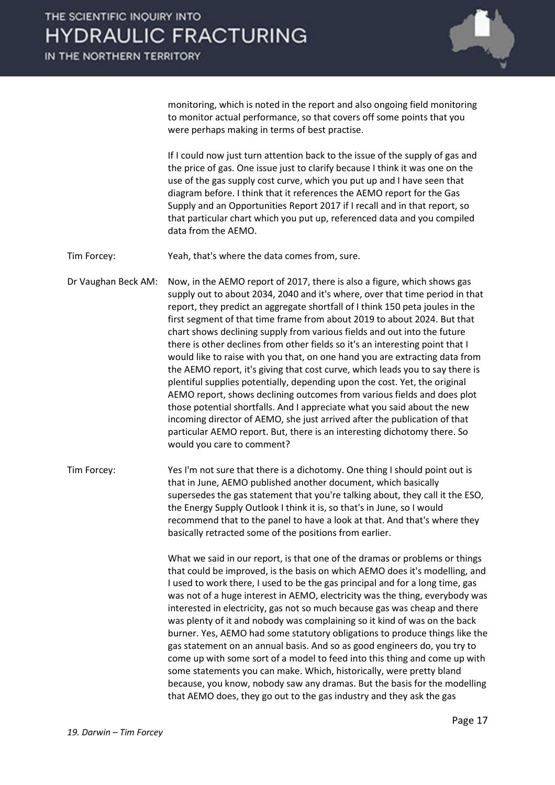

monitoring, which is noted in the report and also ongoing field monitoring to monitor actual performance, so that covers off some points that you were perhaps making in terms of best practise.

If I could now just turn attention back to the issue of the supply of gas and the price of gas. One issue just to clarify because I think it was one on the use of the gas supply cost curve, which you put up and I have seen that diagram before. I think that it references the AEMO report for the Gas Supply and an Opportunities Report 2017 if I recall and in that report, so that particular chart which you put up, referenced data and you compiled data from the AEMO.

Tim Forcey: Yeah, that's where the data comes from, sure.

Dr Vaughan Beck AM: Now, in the AEMO report of 2017, there is also a figure, which shows gas supply out to about 2034, 2040 and it's where, over that time period in that report, they predict an aggregate shortfall of I think 150 peta joules in the first segment of that time frame from about 2019 to about 2024. But that chart shows declining supply from various fields and out into the future there is other declines from other fields so it's an interesting point that I would like to raise with you that, on one hand you are extracting data from the AEMO report, it's giving that cost curve, which leads you to say there is plentiful supplies potentially, depending upon the cost. Yet, the original AEMO report, shows declining outcomes from various fields and does plot those potential shortfalls. And I appreciate what you said about the new incoming director of AEMO, she just arrived after the publication of that particular AEMO report. But, there is an interesting dichotomy there. So would you care to comment?

Tim Forcey: Yes I'm not sure that there is a dichotomy. One thing I should point out is that in June, AEMO published another document, which basically supersedes the gas statement that you're talking about, they call it the ESO, the Energy Supply Outlook I think it is, so that's in June, so I would recommend that to the panel to have a look at that. And that's where they basically retracted some of the positions from earlier.

> What we said in our report, is that one of the dramas or problems or things that could be improved, is the basis on which AEMO does it's modelling, and I used to work there, I used to be the gas principal and for a long time, gas was not of a huge interest in AEMO, electricity was the thing, everybody was interested in electricity, gas not so much because gas was cheap and there was plenty of it and nobody was complaining so it kind of was on the back burner. Yes, AEMO had some statutory obligations to produce things like the gas statement on an annual basis. And so as good engineers do, you try to come up with some sort of a model to feed into this thing and come up with some statements you can make. Which, historically, were pretty bland because, you know, nobody saw any dramas. But the basis for the modelling that AEMO does, they go out to the gas industry and they ask the gas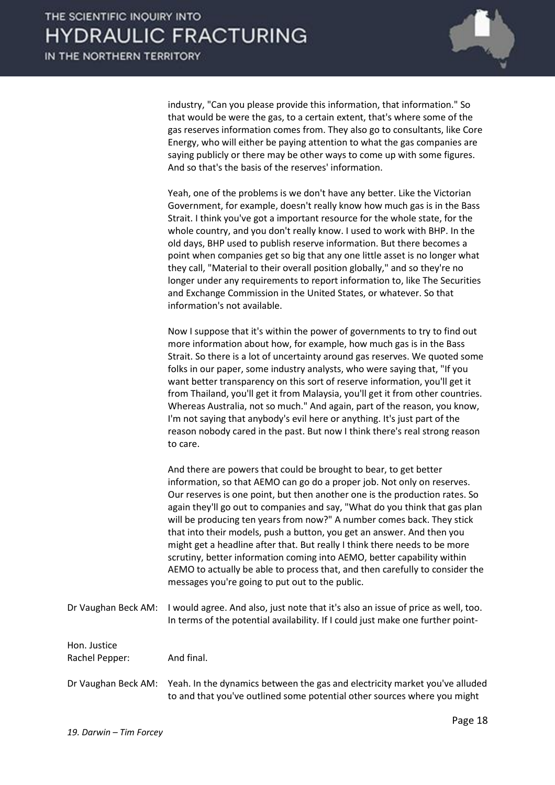

industry, "Can you please provide this information, that information." So that would be were the gas, to a certain extent, that's where some of the gas reserves information comes from. They also go to consultants, like Core Energy, who will either be paying attention to what the gas companies are saying publicly or there may be other ways to come up with some figures. And so that's the basis of the reserves' information.

Yeah, one of the problems is we don't have any better. Like the Victorian Government, for example, doesn't really know how much gas is in the Bass Strait. I think you've got a important resource for the whole state, for the whole country, and you don't really know. I used to work with BHP. In the old days, BHP used to publish reserve information. But there becomes a point when companies get so big that any one little asset is no longer what they call, "Material to their overall position globally," and so they're no longer under any requirements to report information to, like The Securities and Exchange Commission in the United States, or whatever. So that information's not available.

Now I suppose that it's within the power of governments to try to find out more information about how, for example, how much gas is in the Bass Strait. So there is a lot of uncertainty around gas reserves. We quoted some folks in our paper, some industry analysts, who were saying that, "If you want better transparency on this sort of reserve information, you'll get it from Thailand, you'll get it from Malaysia, you'll get it from other countries. Whereas Australia, not so much." And again, part of the reason, you know, I'm not saying that anybody's evil here or anything. It's just part of the reason nobody cared in the past. But now I think there's real strong reason to care.

And there are powers that could be brought to bear, to get better information, so that AEMO can go do a proper job. Not only on reserves. Our reserves is one point, but then another one is the production rates. So again they'll go out to companies and say, "What do you think that gas plan will be producing ten years from now?" A number comes back. They stick that into their models, push a button, you get an answer. And then you might get a headline after that. But really I think there needs to be more scrutiny, better information coming into AEMO, better capability within AEMO to actually be able to process that, and then carefully to consider the messages you're going to put out to the public.

Dr Vaughan Beck AM: I would agree. And also, just note that it's also an issue of price as well, too. In terms of the potential availability. If I could just make one further point-

| Hon. Justice<br>Rachel Pepper: | And final.                                                                                                                                                                  |
|--------------------------------|-----------------------------------------------------------------------------------------------------------------------------------------------------------------------------|
|                                | Dr Vaughan Beck AM: Yeah. In the dynamics between the gas and electricity market you've alluded<br>to and that you've outlined some potential other sources where you might |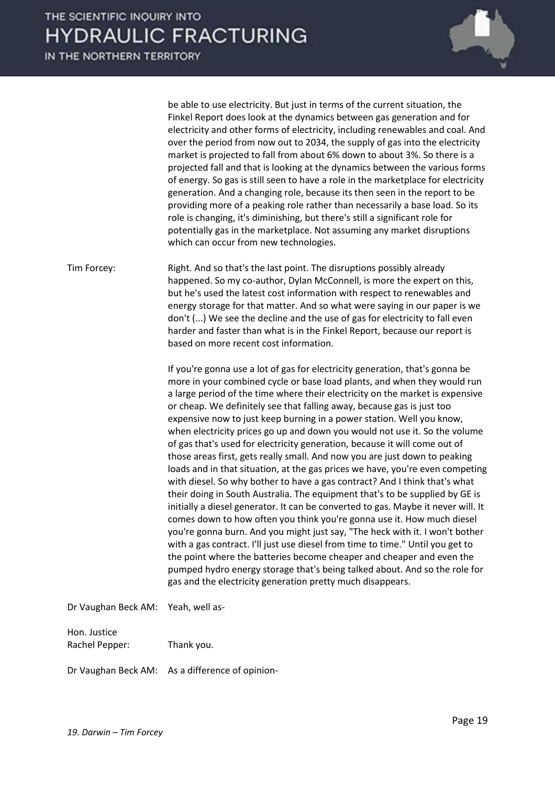|                                | be able to use electricity. But just in terms of the current situation, the<br>Finkel Report does look at the dynamics between gas generation and for<br>electricity and other forms of electricity, including renewables and coal. And<br>over the period from now out to 2034, the supply of gas into the electricity<br>market is projected to fall from about 6% down to about 3%. So there is a<br>projected fall and that is looking at the dynamics between the various forms<br>of energy. So gas is still seen to have a role in the marketplace for electricity<br>generation. And a changing role, because its then seen in the report to be<br>providing more of a peaking role rather than necessarily a base load. So its<br>role is changing, it's diminishing, but there's still a significant role for<br>potentially gas in the marketplace. Not assuming any market disruptions<br>which can occur from new technologies.                                                                                                                                                                                                                                                                                                                                                                                                                                                                                                |
|--------------------------------|---------------------------------------------------------------------------------------------------------------------------------------------------------------------------------------------------------------------------------------------------------------------------------------------------------------------------------------------------------------------------------------------------------------------------------------------------------------------------------------------------------------------------------------------------------------------------------------------------------------------------------------------------------------------------------------------------------------------------------------------------------------------------------------------------------------------------------------------------------------------------------------------------------------------------------------------------------------------------------------------------------------------------------------------------------------------------------------------------------------------------------------------------------------------------------------------------------------------------------------------------------------------------------------------------------------------------------------------------------------------------------------------------------------------------------------------|
| Tim Forcey:                    | Right. And so that's the last point. The disruptions possibly already<br>happened. So my co-author, Dylan McConnell, is more the expert on this,<br>but he's used the latest cost information with respect to renewables and<br>energy storage for that matter. And so what were saying in our paper is we<br>don't () We see the decline and the use of gas for electricity to fall even<br>harder and faster than what is in the Finkel Report, because our report is<br>based on more recent cost information.                                                                                                                                                                                                                                                                                                                                                                                                                                                                                                                                                                                                                                                                                                                                                                                                                                                                                                                           |
|                                | If you're gonna use a lot of gas for electricity generation, that's gonna be<br>more in your combined cycle or base load plants, and when they would run<br>a large period of the time where their electricity on the market is expensive<br>or cheap. We definitely see that falling away, because gas is just too<br>expensive now to just keep burning in a power station. Well you know,<br>when electricity prices go up and down you would not use it. So the volume<br>of gas that's used for electricity generation, because it will come out of<br>those areas first, gets really small. And now you are just down to peaking<br>loads and in that situation, at the gas prices we have, you're even competing<br>with diesel. So why bother to have a gas contract? And I think that's what<br>their doing in South Australia. The equipment that's to be supplied by GE is<br>initially a diesel generator. It can be converted to gas. Maybe it never will. It<br>comes down to how often you think you're gonna use it. How much diesel<br>you're gonna burn. And you might just say, "The heck with it. I won't bother<br>with a gas contract. I'll just use diesel from time to time." Until you get to<br>the point where the batteries become cheaper and cheaper and even the<br>pumped hydro energy storage that's being talked about. And so the role for<br>gas and the electricity generation pretty much disappears. |
| Dr Vaughan Beck AM:            | Yeah, well as-                                                                                                                                                                                                                                                                                                                                                                                                                                                                                                                                                                                                                                                                                                                                                                                                                                                                                                                                                                                                                                                                                                                                                                                                                                                                                                                                                                                                                              |
| Hon. Justice<br>Rachel Pepper: | Thank you.                                                                                                                                                                                                                                                                                                                                                                                                                                                                                                                                                                                                                                                                                                                                                                                                                                                                                                                                                                                                                                                                                                                                                                                                                                                                                                                                                                                                                                  |
| Dr Vaughan Beck AM:            | As a difference of opinion-                                                                                                                                                                                                                                                                                                                                                                                                                                                                                                                                                                                                                                                                                                                                                                                                                                                                                                                                                                                                                                                                                                                                                                                                                                                                                                                                                                                                                 |